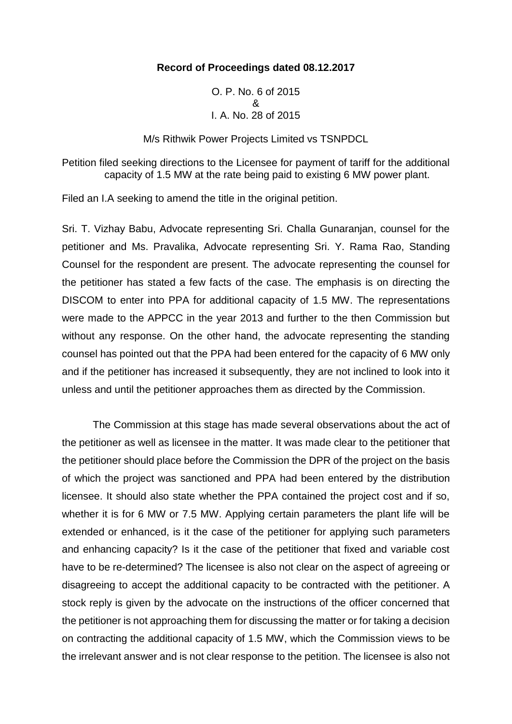### **Record of Proceedings dated 08.12.2017**

O. P. No. 6 of 2015 & I. A. No. 28 of 2015

M/s Rithwik Power Projects Limited vs TSNPDCL

Petition filed seeking directions to the Licensee for payment of tariff for the additional capacity of 1.5 MW at the rate being paid to existing 6 MW power plant.

Filed an I.A seeking to amend the title in the original petition.

Sri. T. Vizhay Babu, Advocate representing Sri. Challa Gunaranjan, counsel for the petitioner and Ms. Pravalika, Advocate representing Sri. Y. Rama Rao, Standing Counsel for the respondent are present. The advocate representing the counsel for the petitioner has stated a few facts of the case. The emphasis is on directing the DISCOM to enter into PPA for additional capacity of 1.5 MW. The representations were made to the APPCC in the year 2013 and further to the then Commission but without any response. On the other hand, the advocate representing the standing counsel has pointed out that the PPA had been entered for the capacity of 6 MW only and if the petitioner has increased it subsequently, they are not inclined to look into it unless and until the petitioner approaches them as directed by the Commission.

The Commission at this stage has made several observations about the act of the petitioner as well as licensee in the matter. It was made clear to the petitioner that the petitioner should place before the Commission the DPR of the project on the basis of which the project was sanctioned and PPA had been entered by the distribution licensee. It should also state whether the PPA contained the project cost and if so, whether it is for 6 MW or 7.5 MW. Applying certain parameters the plant life will be extended or enhanced, is it the case of the petitioner for applying such parameters and enhancing capacity? Is it the case of the petitioner that fixed and variable cost have to be re-determined? The licensee is also not clear on the aspect of agreeing or disagreeing to accept the additional capacity to be contracted with the petitioner. A stock reply is given by the advocate on the instructions of the officer concerned that the petitioner is not approaching them for discussing the matter or for taking a decision on contracting the additional capacity of 1.5 MW, which the Commission views to be the irrelevant answer and is not clear response to the petition. The licensee is also not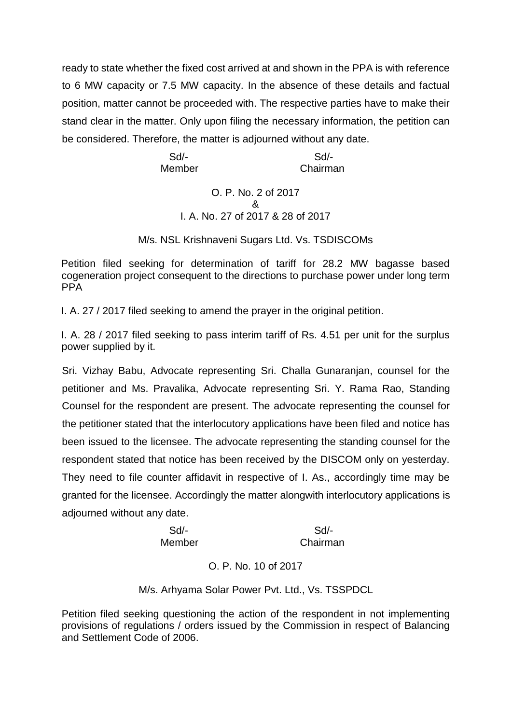ready to state whether the fixed cost arrived at and shown in the PPA is with reference to 6 MW capacity or 7.5 MW capacity. In the absence of these details and factual position, matter cannot be proceeded with. The respective parties have to make their stand clear in the matter. Only upon filing the necessary information, the petition can be considered. Therefore, the matter is adjourned without any date.

 Sd/- Sd/- Member **Chairman** 

## O. P. No. 2 of 2017 & I. A. No. 27 of 2017 & 28 of 2017

M/s. NSL Krishnaveni Sugars Ltd. Vs. TSDISCOMs

Petition filed seeking for determination of tariff for 28.2 MW bagasse based cogeneration project consequent to the directions to purchase power under long term PPA

I. A. 27 / 2017 filed seeking to amend the prayer in the original petition.

I. A. 28 / 2017 filed seeking to pass interim tariff of Rs. 4.51 per unit for the surplus power supplied by it.

Sri. Vizhay Babu, Advocate representing Sri. Challa Gunaranjan, counsel for the petitioner and Ms. Pravalika, Advocate representing Sri. Y. Rama Rao, Standing Counsel for the respondent are present. The advocate representing the counsel for the petitioner stated that the interlocutory applications have been filed and notice has been issued to the licensee. The advocate representing the standing counsel for the respondent stated that notice has been received by the DISCOM only on yesterday. They need to file counter affidavit in respective of I. As., accordingly time may be granted for the licensee. Accordingly the matter alongwith interlocutory applications is adjourned without any date.

> Sd/- Sd/- Member Chairman

> > O. P. No. 10 of 2017

M/s. Arhyama Solar Power Pvt. Ltd., Vs. TSSPDCL

Petition filed seeking questioning the action of the respondent in not implementing provisions of regulations / orders issued by the Commission in respect of Balancing and Settlement Code of 2006.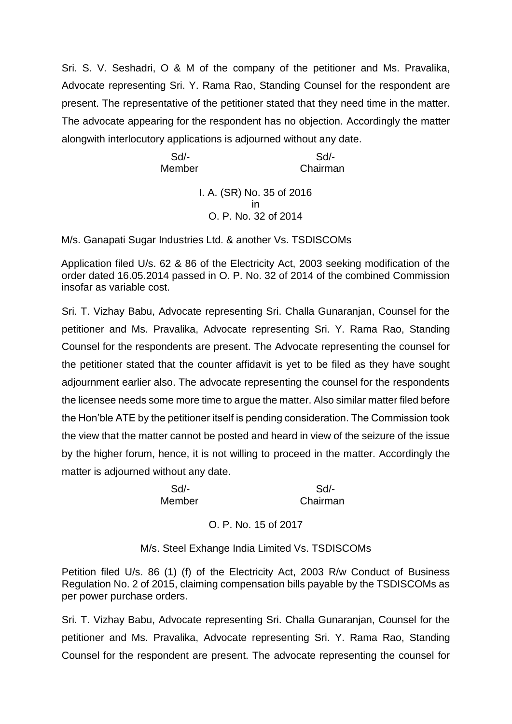Sri. S. V. Seshadri, O & M of the company of the petitioner and Ms. Pravalika, Advocate representing Sri. Y. Rama Rao, Standing Counsel for the respondent are present. The representative of the petitioner stated that they need time in the matter. The advocate appearing for the respondent has no objection. Accordingly the matter alongwith interlocutory applications is adjourned without any date.

 Sd/- Sd/- Member **Chairman** I. A. (SR) No. 35 of 2016 in O. P. No. 32 of 2014

M/s. Ganapati Sugar Industries Ltd. & another Vs. TSDISCOMs

Application filed U/s. 62 & 86 of the Electricity Act, 2003 seeking modification of the order dated 16.05.2014 passed in O. P. No. 32 of 2014 of the combined Commission insofar as variable cost.

Sri. T. Vizhay Babu, Advocate representing Sri. Challa Gunaranjan, Counsel for the petitioner and Ms. Pravalika, Advocate representing Sri. Y. Rama Rao, Standing Counsel for the respondents are present. The Advocate representing the counsel for the petitioner stated that the counter affidavit is yet to be filed as they have sought adjournment earlier also. The advocate representing the counsel for the respondents the licensee needs some more time to argue the matter. Also similar matter filed before the Hon'ble ATE by the petitioner itself is pending consideration. The Commission took the view that the matter cannot be posted and heard in view of the seizure of the issue by the higher forum, hence, it is not willing to proceed in the matter. Accordingly the matter is adjourned without any date.

Sd/- Sd/-

Member Chairman

O. P. No. 15 of 2017

M/s. Steel Exhange India Limited Vs. TSDISCOMs

Petition filed U/s. 86 (1) (f) of the Electricity Act, 2003 R/w Conduct of Business Regulation No. 2 of 2015, claiming compensation bills payable by the TSDISCOMs as per power purchase orders.

Sri. T. Vizhay Babu, Advocate representing Sri. Challa Gunaranjan, Counsel for the petitioner and Ms. Pravalika, Advocate representing Sri. Y. Rama Rao, Standing Counsel for the respondent are present. The advocate representing the counsel for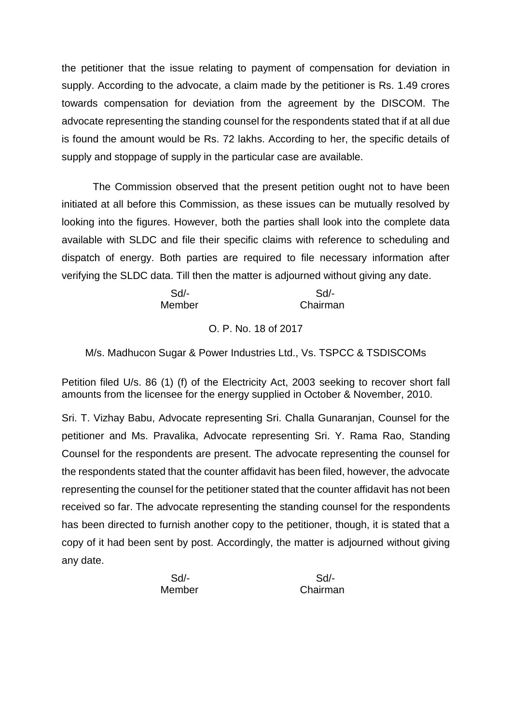the petitioner that the issue relating to payment of compensation for deviation in supply. According to the advocate, a claim made by the petitioner is Rs. 1.49 crores towards compensation for deviation from the agreement by the DISCOM. The advocate representing the standing counsel for the respondents stated that if at all due is found the amount would be Rs. 72 lakhs. According to her, the specific details of supply and stoppage of supply in the particular case are available.

The Commission observed that the present petition ought not to have been initiated at all before this Commission, as these issues can be mutually resolved by looking into the figures. However, both the parties shall look into the complete data available with SLDC and file their specific claims with reference to scheduling and dispatch of energy. Both parties are required to file necessary information after verifying the SLDC data. Till then the matter is adjourned without giving any date.

 Sd/- Sd/- Member Chairman

# O. P. No. 18 of 2017

M/s. Madhucon Sugar & Power Industries Ltd., Vs. TSPCC & TSDISCOMs

Petition filed U/s. 86 (1) (f) of the Electricity Act, 2003 seeking to recover short fall amounts from the licensee for the energy supplied in October & November, 2010.

Sri. T. Vizhay Babu, Advocate representing Sri. Challa Gunaranjan, Counsel for the petitioner and Ms. Pravalika, Advocate representing Sri. Y. Rama Rao, Standing Counsel for the respondents are present. The advocate representing the counsel for the respondents stated that the counter affidavit has been filed, however, the advocate representing the counsel for the petitioner stated that the counter affidavit has not been received so far. The advocate representing the standing counsel for the respondents has been directed to furnish another copy to the petitioner, though, it is stated that a copy of it had been sent by post. Accordingly, the matter is adjourned without giving any date.

Sd/- Sd/-

Member Chairman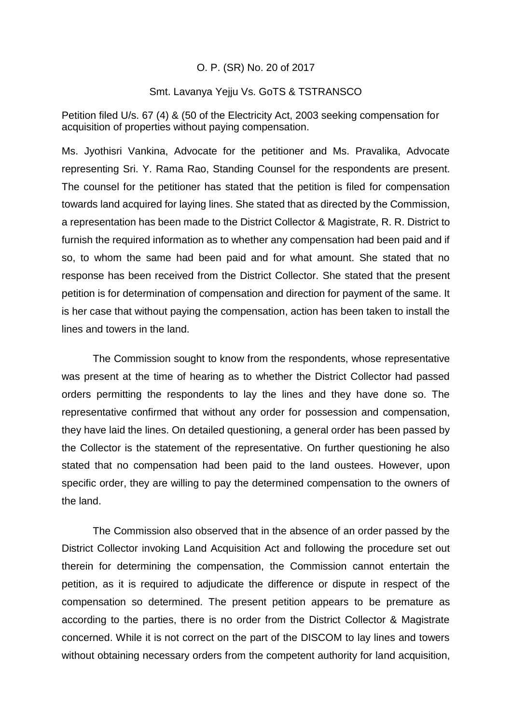### O. P. (SR) No. 20 of 2017

### Smt. Lavanya Yejju Vs. GoTS & TSTRANSCO

Petition filed U/s. 67 (4) & (50 of the Electricity Act, 2003 seeking compensation for acquisition of properties without paying compensation.

Ms. Jyothisri Vankina, Advocate for the petitioner and Ms. Pravalika, Advocate representing Sri. Y. Rama Rao, Standing Counsel for the respondents are present. The counsel for the petitioner has stated that the petition is filed for compensation towards land acquired for laying lines. She stated that as directed by the Commission, a representation has been made to the District Collector & Magistrate, R. R. District to furnish the required information as to whether any compensation had been paid and if so, to whom the same had been paid and for what amount. She stated that no response has been received from the District Collector. She stated that the present petition is for determination of compensation and direction for payment of the same. It is her case that without paying the compensation, action has been taken to install the lines and towers in the land.

The Commission sought to know from the respondents, whose representative was present at the time of hearing as to whether the District Collector had passed orders permitting the respondents to lay the lines and they have done so. The representative confirmed that without any order for possession and compensation, they have laid the lines. On detailed questioning, a general order has been passed by the Collector is the statement of the representative. On further questioning he also stated that no compensation had been paid to the land oustees. However, upon specific order, they are willing to pay the determined compensation to the owners of the land.

The Commission also observed that in the absence of an order passed by the District Collector invoking Land Acquisition Act and following the procedure set out therein for determining the compensation, the Commission cannot entertain the petition, as it is required to adjudicate the difference or dispute in respect of the compensation so determined. The present petition appears to be premature as according to the parties, there is no order from the District Collector & Magistrate concerned. While it is not correct on the part of the DISCOM to lay lines and towers without obtaining necessary orders from the competent authority for land acquisition,